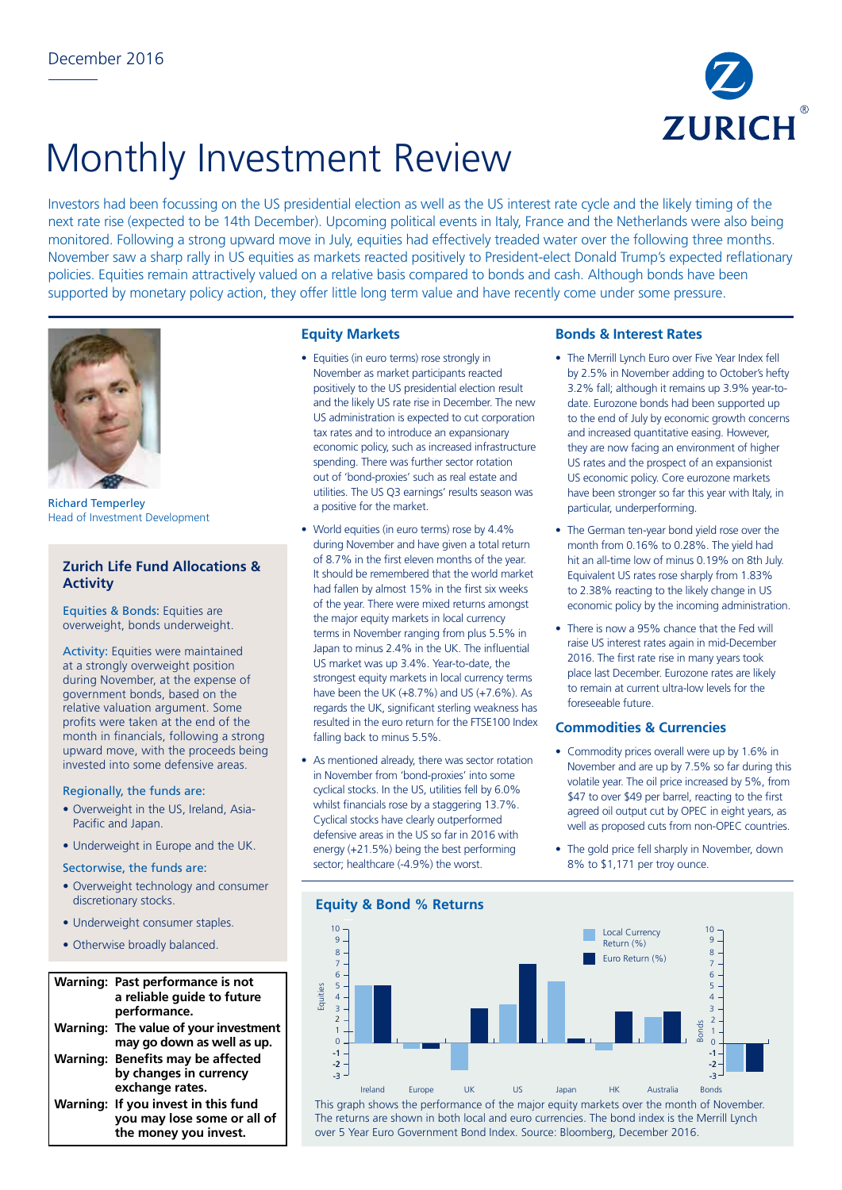

# Monthly Investment Review

Investors had been focussing on the US presidential election as well as the US interest rate cycle and the likely timing of the next rate rise (expected to be 14th December). Upcoming political events in Italy, France and the Netherlands were also being monitored. Following a strong upward move in July, equities had effectively treaded water over the following three months. November saw a sharp rally in US equities as markets reacted positively to President-elect Donald Trump's expected reflationary policies. Equities remain attractively valued on a relative basis compared to bonds and cash. Although bonds have been supported by monetary policy action, they offer little long term value and have recently come under some pressure.



Richard Temperley Head of Investment Development

# **Zurich Life Fund Allocations & Activity**

Equities & Bonds: Equities are overweight, bonds underweight.

Activity: Equities were maintained at a strongly overweight position during November, at the expense of government bonds, based on the relative valuation argument. Some profits were taken at the end of the month in financials, following a strong upward move, with the proceeds being invested into some defensive areas.

#### Regionally, the funds are:

- Overweight in the US, Ireland, Asia-Pacific and Japan.
- Underweight in Europe and the UK.

#### Sectorwise, the funds are:

- Overweight technology and consumer discretionary stocks.
- Underweight consumer staples.
- Otherwise broadly balanced.

#### **Warning: Past performance is not a reliable guide to future**  7 **performance. Warning: The value of your investment**  7 3 **may go down as well as up.**  0 6 **Warning: Benefits may be affected**  3 5 **by changes in currency**  -3 **exchange rates. Warning: If you invest in this fund**  -4 **you may lose some or all of**  -5 -6 -7 the money you invest. -3 -5 9

 $\overline{\phantom{0}}$ 

### **Equity Markets**

- Equities (in euro terms) rose strongly in November as market participants reacted positively to the US presidential election result and the likely US rate rise in December. The new US administration is expected to cut corporation tax rates and to introduce an expansionary economic policy, such as increased infrastructure spending. There was further sector rotation out of 'bond-proxies' such as real estate and utilities. The US Q3 earnings' results season was a positive for the market.
- World equities (in euro terms) rose by 4.4% during November and have given a total return of 8.7% in the first eleven months of the year. It should be remembered that the world market had fallen by almost 15% in the first six weeks of the year. There were mixed returns amongst the major equity markets in local currency terms in November ranging from plus 5.5% in Japan to minus 2.4% in the UK. The influential US market was up 3.4%. Year-to-date, the strongest equity markets in local currency terms have been the UK (+8.7%) and US (+7.6%). As regards the UK, significant sterling weakness has resulted in the euro return for the FTSE100 Index falling back to minus 5.5%.
- As mentioned already, there was sector rotation in November from 'bond-proxies' into some cyclical stocks. In the US, utilities fell by 6.0% whilst financials rose by a staggering 13.7%. Cyclical stocks have clearly outperformed defensive areas in the US so far in 2016 with energy (+21.5%) being the best performing sector; healthcare (-4.9%) the worst.

## **Bonds & Interest Rates**

- The Merrill Lynch Euro over Five Year Index fell by 2.5% in November adding to October's hefty 3.2% fall; although it remains up 3.9% year-todate. Eurozone bonds had been supported up to the end of July by economic growth concerns and increased quantitative easing. However, they are now facing an environment of higher US rates and the prospect of an expansionist US economic policy. Core eurozone markets have been stronger so far this year with Italy, in particular, underperforming.
- The German ten-year bond yield rose over the month from 0.16% to 0.28%. The yield had hit an all-time low of minus 0.19% on 8th July. Equivalent US rates rose sharply from 1.83% to 2.38% reacting to the likely change in US economic policy by the incoming administration.
- There is now a 95% chance that the Fed will raise US interest rates again in mid-December 2016. The first rate rise in many years took place last December. Eurozone rates are likely to remain at current ultra-low levels for the foreseeable future.

# **Commodities & Currencies**

- Commodity prices overall were up by 1.6% in November and are up by 7.5% so far during this volatile year. The oil price increased by 5%, from \$47 to over \$49 per barrel, reacting to the first agreed oil output cut by OPEC in eight years, as well as proposed cuts from non-OPEC countries.
- The gold price fell sharply in November, down 8% to \$1,171 per troy ounce.

#### **Equity & Bond % Returns** -2 -1 1 2 International Control of the Control of the Control of the Control of the Control of the Control of the Control<br>- 1-<br>Ireland Europe UK US Japan HK Australia Bonds **Equities**  $\Omega$ 1 2 9 10  $\Omega$  $-2$ <br> $-3$ 3 4 5 6 7 8 9  $1<sub>0</sub>$ 3 4 5 6 7 8  $\overline{z}$ -1 -3 Local Currency Return (%) Euro Return (%) This graph shows the performance of the major equity markets over the month of November. The returns are shown in both local and euro currencies. The bond index is the Merrill Lynch

over 5 Year Euro Government Bond Index. Source: Bloomberg, December 2016.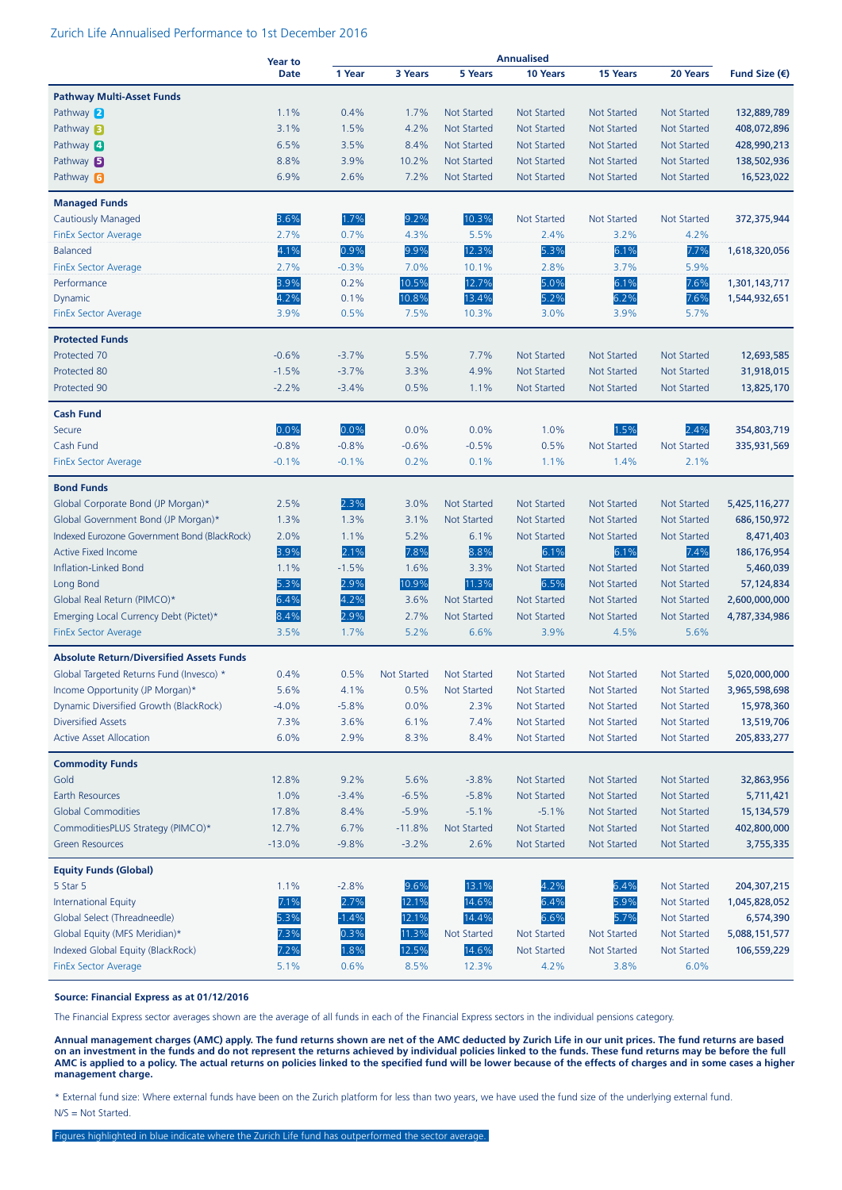#### Zurich Life Annualised Performance to 1st December 2016

|                                                 | Year to     | <b>Annualised</b> |                    |                    |                    |                    |                    |                        |
|-------------------------------------------------|-------------|-------------------|--------------------|--------------------|--------------------|--------------------|--------------------|------------------------|
|                                                 | <b>Date</b> | 1 Year            | 3 Years            | 5 Years            | 10 Years           | 15 Years           | 20 Years           | Fund Size $(\epsilon)$ |
| <b>Pathway Multi-Asset Funds</b>                |             |                   |                    |                    |                    |                    |                    |                        |
| Pathway 2                                       | 1.1%        | 0.4%              | 1.7%               | <b>Not Started</b> | <b>Not Started</b> | <b>Not Started</b> | <b>Not Started</b> | 132,889,789            |
| Pathway <b>B</b>                                | 3.1%        | 1.5%              | 4.2%               | <b>Not Started</b> | <b>Not Started</b> | <b>Not Started</b> | <b>Not Started</b> | 408,072,896            |
| Pathway 4                                       | 6.5%        | 3.5%              | 8.4%               | <b>Not Started</b> | <b>Not Started</b> | <b>Not Started</b> | <b>Not Started</b> | 428,990,213            |
| Pathway $\mathbf{5}$                            | 8.8%        | 3.9%              | 10.2%              | <b>Not Started</b> | <b>Not Started</b> | <b>Not Started</b> | Not Started        | 138,502,936            |
| Pathway 6                                       | 6.9%        | 2.6%              | 7.2%               | <b>Not Started</b> | <b>Not Started</b> | <b>Not Started</b> | <b>Not Started</b> | 16,523,022             |
| <b>Managed Funds</b>                            |             |                   |                    |                    |                    |                    |                    |                        |
| Cautiously Managed                              | 3.6%        | 1.7%              | 9.2%               | 10.3%              | <b>Not Started</b> | <b>Not Started</b> | <b>Not Started</b> | 372,375,944            |
| <b>FinEx Sector Average</b>                     | 2.7%        | 0.7%              | 4.3%               | 5.5%               | 2.4%               | 3.2%               | 4.2%               |                        |
| <b>Balanced</b>                                 | 4.1%        | 0.9%              | 9.9%               | 12.3%              | 5.3%               | 6.1%               | 7.7%               | 1,618,320,056          |
| <b>FinEx Sector Average</b>                     | 2.7%        | $-0.3%$           | 7.0%               | 10.1%              | 2.8%               | 3.7%               | 5.9%               |                        |
| Performance                                     | 3.9%        | 0.2%              | 10.5%              | 12.7%              | 5.0%               | 6.1%               | 7.6%               | 1,301,143,717          |
| Dynamic                                         | 4.2%        | 0.1%              | 10.8%              | 13.4%              | 5.2%               | 6.2%               | 7.6%               | 1,544,932,651          |
| <b>FinEx Sector Average</b>                     | 3.9%        | 0.5%              | 7.5%               | 10.3%              | 3.0%               | 3.9%               | 5.7%               |                        |
| <b>Protected Funds</b>                          |             |                   |                    |                    |                    |                    |                    |                        |
| Protected 70                                    | $-0.6%$     | $-3.7%$           | 5.5%               | 7.7%               | <b>Not Started</b> | <b>Not Started</b> | <b>Not Started</b> | 12,693,585             |
| Protected 80                                    | $-1.5%$     | $-3.7%$           | 3.3%               | 4.9%               | <b>Not Started</b> | <b>Not Started</b> | <b>Not Started</b> | 31,918,015             |
| Protected 90                                    | $-2.2%$     | $-3.4%$           | 0.5%               | 1.1%               | <b>Not Started</b> | <b>Not Started</b> | <b>Not Started</b> | 13,825,170             |
| <b>Cash Fund</b>                                |             |                   |                    |                    |                    |                    |                    |                        |
| Secure                                          | 0.0%        | 0.0%              | 0.0%               | 0.0%               | 1.0%               | 1.5%               | 2.4%               | 354,803,719            |
| Cash Fund                                       | $-0.8%$     | $-0.8%$           | $-0.6%$            | $-0.5%$            | 0.5%               | <b>Not Started</b> | <b>Not Started</b> | 335,931,569            |
| <b>FinEx Sector Average</b>                     | $-0.1%$     | $-0.1%$           | 0.2%               | 0.1%               | 1.1%               | 1.4%               | 2.1%               |                        |
| <b>Bond Funds</b>                               |             |                   |                    |                    |                    |                    |                    |                        |
| Global Corporate Bond (JP Morgan)*              | 2.5%        | 2.3%              | 3.0%               | <b>Not Started</b> | <b>Not Started</b> | <b>Not Started</b> | <b>Not Started</b> | 5,425,116,277          |
| Global Government Bond (JP Morgan)*             | 1.3%        | 1.3%              | 3.1%               | <b>Not Started</b> | <b>Not Started</b> | <b>Not Started</b> | <b>Not Started</b> | 686,150,972            |
| Indexed Eurozone Government Bond (BlackRock)    | 2.0%        | 1.1%              | 5.2%               | 6.1%               | <b>Not Started</b> | <b>Not Started</b> | <b>Not Started</b> | 8,471,403              |
| <b>Active Fixed Income</b>                      | 3.9%        | 2.1%              | 7.8%               | 8.8%               | 6.1%               | 6.1%               | 7.4%               | 186, 176, 954          |
| Inflation-Linked Bond                           | 1.1%        | $-1.5%$           | 1.6%               | 3.3%               | <b>Not Started</b> | <b>Not Started</b> | <b>Not Started</b> | 5,460,039              |
| Long Bond                                       | 5.3%        | 2.9%              | 10.9%              | 11.3%              | 6.5%               | <b>Not Started</b> | <b>Not Started</b> | 57,124,834             |
| Global Real Return (PIMCO)*                     | 6.4%        | 4.2%              | 3.6%               | <b>Not Started</b> | <b>Not Started</b> | <b>Not Started</b> | <b>Not Started</b> | 2,600,000,000          |
| Emerging Local Currency Debt (Pictet)*          | 8.4%        | 2.9%              | 2.7%               | <b>Not Started</b> | <b>Not Started</b> | <b>Not Started</b> | <b>Not Started</b> | 4,787,334,986          |
| <b>FinEx Sector Average</b>                     | 3.5%        | 1.7%              | 5.2%               | 6.6%               | 3.9%               | 4.5%               | 5.6%               |                        |
| <b>Absolute Return/Diversified Assets Funds</b> |             |                   |                    |                    |                    |                    |                    |                        |
| Global Targeted Returns Fund (Invesco) *        | 0.4%        | 0.5%              | <b>Not Started</b> | <b>Not Started</b> | <b>Not Started</b> | <b>Not Started</b> | <b>Not Started</b> | 5,020,000,000          |
| Income Opportunity (JP Morgan)*                 | 5.6%        | 4.1%              | 0.5%               | Not Started        | Not Started        | <b>Not Started</b> | Not Started        | 3,965,598,698          |
| Dynamic Diversified Growth (BlackRock)          | $-4.0%$     | $-5.8%$           | 0.0%               | 2.3%               | Not Started        | <b>Not Started</b> | Not Started        | 15,978,360             |
| <b>Diversified Assets</b>                       | 7.3%        | 3.6%              | 6.1%               | 7.4%               | <b>Not Started</b> | <b>Not Started</b> | <b>Not Started</b> | 13,519,706             |
| <b>Active Asset Allocation</b>                  | 6.0%        | 2.9%              | 8.3%               | 8.4%               | Not Started        | <b>Not Started</b> | <b>Not Started</b> | 205,833,277            |
| <b>Commodity Funds</b>                          |             |                   |                    |                    |                    |                    |                    |                        |
| Gold                                            | 12.8%       | 9.2%              | 5.6%               | $-3.8%$            | Not Started        | Not Started        | Not Started        | 32,863,956             |
| Earth Resources                                 | 1.0%        | $-3.4%$           | $-6.5%$            | $-5.8%$            | Not Started        | <b>Not Started</b> | Not Started        | 5,711,421              |
| <b>Global Commodities</b>                       | 17.8%       | 8.4%              | $-5.9%$            | $-5.1%$            | $-5.1%$            | <b>Not Started</b> | Not Started        | 15,134,579             |
| CommoditiesPLUS Strategy (PIMCO)*               | 12.7%       | 6.7%              | $-11.8%$           | <b>Not Started</b> | <b>Not Started</b> | <b>Not Started</b> | <b>Not Started</b> | 402,800,000            |
| <b>Green Resources</b>                          | $-13.0%$    | $-9.8%$           | $-3.2%$            | 2.6%               | <b>Not Started</b> | <b>Not Started</b> | <b>Not Started</b> | 3,755,335              |
| <b>Equity Funds (Global)</b>                    |             |                   |                    |                    |                    |                    |                    |                        |
| 5 Star 5                                        | 1.1%        | $-2.8%$           | 9.6%               | 13.1%              | 4.2%               | 6.4%               | <b>Not Started</b> | 204, 307, 215          |
| <b>International Equity</b>                     | 7.1%        | 2.7%              | 12.1%              | 14.6%              | 6.4%               | 5.9%               | Not Started        | 1,045,828,052          |
| Global Select (Threadneedle)                    | 5.3%        | $-1.4%$           | 12.1%              | 14.4%              | 6.6%               | 5.7%               | <b>Not Started</b> | 6,574,390              |
| Global Equity (MFS Meridian)*                   | 7.3%        | 0.3%              | 11.3%              | Not Started        | Not Started        | Not Started        | <b>Not Started</b> | 5,088,151,577          |
| Indexed Global Equity (BlackRock)               | 7.2%        | 1.8%              | 12.5%              | 14.6%              | <b>Not Started</b> | Not Started        | <b>Not Started</b> | 106,559,229            |
| <b>FinEx Sector Average</b>                     | 5.1%        | 0.6%              | 8.5%               | 12.3%              | 4.2%               | 3.8%               | 6.0%               |                        |

#### **Source: Financial Express as at 01/12/2016**

The Financial Express sector averages shown are the average of all funds in each of the Financial Express sectors in the individual pensions category.

**Annual management charges (AMC) apply. The fund returns shown are net of the AMC deducted by Zurich Life in our unit prices. The fund returns are based on an investment in the funds and do not represent the returns achieved by individual policies linked to the funds. These fund returns may be before the full AMC is applied to a policy. The actual returns on policies linked to the specified fund will be lower because of the effects of charges and in some cases a higher management charge.**

\* External fund size: Where external funds have been on the Zurich platform for less than two years, we have used the fund size of the underlying external fund. N/S = Not Started.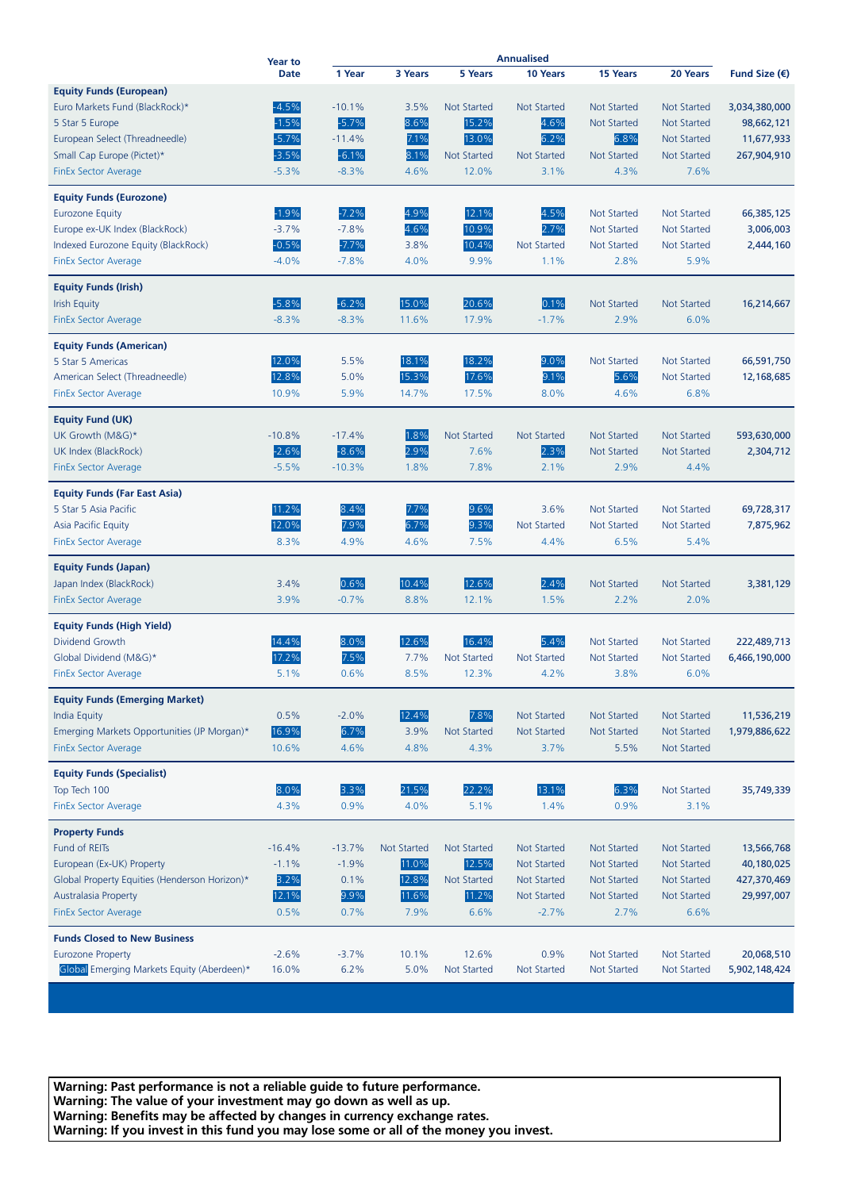|                                               | Year to     |          | <b>Annualised</b>  |                    |                    |                    |                    |                        |
|-----------------------------------------------|-------------|----------|--------------------|--------------------|--------------------|--------------------|--------------------|------------------------|
|                                               | <b>Date</b> | 1 Year   | 3 Years            | 5 Years            | 10 Years           | <b>15 Years</b>    | 20 Years           | Fund Size $(\epsilon)$ |
| <b>Equity Funds (European)</b>                |             |          |                    |                    |                    |                    |                    |                        |
| Euro Markets Fund (BlackRock)*                | $-4.5%$     | $-10.1%$ | 3.5%               | <b>Not Started</b> | <b>Not Started</b> | <b>Not Started</b> | <b>Not Started</b> | 3,034,380,000          |
| 5 Star 5 Europe                               | $-1.5%$     | $-5.7%$  | 8.6%               | 15.2%              | 4.6%               | Not Started        | <b>Not Started</b> | 98,662,121             |
| European Select (Threadneedle)                | $-5.7%$     | $-11.4%$ | 7.1%               | 13.0%              | 6.2%               | 6.8%               | <b>Not Started</b> | 11,677,933             |
| Small Cap Europe (Pictet)*                    | $-3.5%$     | $-6.1%$  | 8.1%               | <b>Not Started</b> | <b>Not Started</b> | <b>Not Started</b> | <b>Not Started</b> | 267,904,910            |
| <b>FinEx Sector Average</b>                   | $-5.3%$     | $-8.3%$  | 4.6%               | 12.0%              | 3.1%               | 4.3%               | 7.6%               |                        |
| <b>Equity Funds (Eurozone)</b>                |             |          |                    |                    |                    |                    |                    |                        |
| <b>Eurozone Equity</b>                        | $-1.9%$     | $-7.2%$  | 4.9%               | 12.1%              | 4.5%               | <b>Not Started</b> | <b>Not Started</b> | 66,385,125             |
| Europe ex-UK Index (BlackRock)                | $-3.7%$     | $-7.8%$  | 4.6%               | 10.9%              | 2.7%               | <b>Not Started</b> | <b>Not Started</b> | 3,006,003              |
| Indexed Eurozone Equity (BlackRock)           | $-0.5%$     | $-7.7%$  | 3.8%               | 10.4%              | <b>Not Started</b> | <b>Not Started</b> | <b>Not Started</b> | 2,444,160              |
| <b>FinEx Sector Average</b>                   | $-4.0%$     | $-7.8%$  | 4.0%               | 9.9%               | 1.1%               | 2.8%               | 5.9%               |                        |
| <b>Equity Funds (Irish)</b>                   |             |          |                    |                    |                    |                    |                    |                        |
| <b>Irish Equity</b>                           | $-5.8%$     | $-6.2%$  | 15.0%              | 20.6%              | 0.1%               | <b>Not Started</b> | <b>Not Started</b> | 16,214,667             |
| <b>FinEx Sector Average</b>                   | $-8.3%$     | $-8.3%$  | 11.6%              | 17.9%              | $-1.7%$            | 2.9%               | 6.0%               |                        |
|                                               |             |          |                    |                    |                    |                    |                    |                        |
| <b>Equity Funds (American)</b>                |             |          |                    |                    |                    |                    |                    |                        |
| 5 Star 5 Americas                             | 12.0%       | 5.5%     | 18.1%              | 18.2%              | 9.0%               | <b>Not Started</b> | <b>Not Started</b> | 66,591,750             |
| American Select (Threadneedle)                | 12.8%       | 5.0%     | 15.3%              | 17.6%              | 9.1%               | 5.6%               | <b>Not Started</b> | 12,168,685             |
| <b>FinEx Sector Average</b>                   | 10.9%       | 5.9%     | 14.7%              | 17.5%              | 8.0%               | 4.6%               | 6.8%               |                        |
| <b>Equity Fund (UK)</b>                       |             |          |                    |                    |                    |                    |                    |                        |
| UK Growth (M&G)*                              | $-10.8%$    | $-17.4%$ | 1.8%               | <b>Not Started</b> | <b>Not Started</b> | <b>Not Started</b> | <b>Not Started</b> | 593,630,000            |
| UK Index (BlackRock)                          | $-2.6%$     | $-8.6%$  | 2.9%               | 7.6%               | 2.3%               | <b>Not Started</b> | <b>Not Started</b> | 2,304,712              |
| <b>FinEx Sector Average</b>                   | $-5.5%$     | $-10.3%$ | 1.8%               | 7.8%               | 2.1%               | 2.9%               | 4.4%               |                        |
| <b>Equity Funds (Far East Asia)</b>           |             |          |                    |                    |                    |                    |                    |                        |
| 5 Star 5 Asia Pacific                         | 11.2%       | 8.4%     | 7.7%               | 9.6%               | 3.6%               | <b>Not Started</b> | <b>Not Started</b> | 69,728,317             |
| <b>Asia Pacific Equity</b>                    | 12.0%       | 7.9%     | 6.7%               | 9.3%               | <b>Not Started</b> | <b>Not Started</b> | <b>Not Started</b> | 7,875,962              |
| <b>FinEx Sector Average</b>                   | 8.3%        | 4.9%     | 4.6%               | 7.5%               | 4.4%               | 6.5%               | 5.4%               |                        |
| <b>Equity Funds (Japan)</b>                   |             |          |                    |                    |                    |                    |                    |                        |
| Japan Index (BlackRock)                       | 3.4%        | 0.6%     | 10.4%              | 12.6%              | 2.4%               | <b>Not Started</b> | <b>Not Started</b> | 3,381,129              |
| <b>FinEx Sector Average</b>                   | 3.9%        | $-0.7%$  | 8.8%               | 12.1%              | 1.5%               | 2.2%               | 2.0%               |                        |
| <b>Equity Funds (High Yield)</b>              |             |          |                    |                    |                    |                    |                    |                        |
| Dividend Growth                               | 14.4%       | 8.0%     | 12.6%              | 16.4%              | 5.4%               | <b>Not Started</b> | Not Started        | 222,489,713            |
| Global Dividend (M&G)*                        | 17.2%       | 7.5%     | 7.7%               | <b>Not Started</b> | <b>Not Started</b> | <b>Not Started</b> | <b>Not Started</b> | 6,466,190,000          |
|                                               | 5.1%        |          | 8.5%               | 12.3%              | 4.2%               | 3.8%               | 6.0%               |                        |
| <b>FinEx Sector Average</b>                   |             | 0.6%     |                    |                    |                    |                    |                    |                        |
| <b>Equity Funds (Emerging Market)</b>         |             |          |                    |                    |                    |                    |                    |                        |
| <b>India Equity</b>                           | 0.5%        | $-2.0%$  | 12.4%              | 7.8%               | <b>Not Started</b> | Not Started        | <b>Not Started</b> | 11,536,219             |
| Emerging Markets Opportunities (JP Morgan)*   | 16.9%       | 6.7%     | 3.9%               | <b>Not Started</b> | <b>Not Started</b> | Not Started        | <b>Not Started</b> | 1,979,886,622          |
| <b>FinEx Sector Average</b>                   | 10.6%       | 4.6%     | 4.8%               | 4.3%               | 3.7%               | 5.5%               | <b>Not Started</b> |                        |
| <b>Equity Funds (Specialist)</b>              |             |          |                    |                    |                    |                    |                    |                        |
| Top Tech 100                                  | 8.0%        | 3.3%     | 21.5%              | 22.2%              | 13.1%              | 6.3%               | <b>Not Started</b> | 35,749,339             |
| <b>FinEx Sector Average</b>                   | 4.3%        | 0.9%     | 4.0%               | 5.1%               | 1.4%               | 0.9%               | 3.1%               |                        |
| <b>Property Funds</b>                         |             |          |                    |                    |                    |                    |                    |                        |
| Fund of REITs                                 | $-16.4%$    | $-13.7%$ | <b>Not Started</b> | <b>Not Started</b> | <b>Not Started</b> | Not Started        | <b>Not Started</b> | 13,566,768             |
| European (Ex-UK) Property                     | $-1.1%$     | $-1.9%$  | 11.0%              | 12.5%              | <b>Not Started</b> | Not Started        | <b>Not Started</b> | 40,180,025             |
| Global Property Equities (Henderson Horizon)* | 3.2%        | 0.1%     | 12.8%              | Not Started        | <b>Not Started</b> | Not Started        | <b>Not Started</b> | 427,370,469            |
| Australasia Property                          | 12.1%       | 9.9%     | 11.6%              | 11.2%              | <b>Not Started</b> | Not Started        | <b>Not Started</b> | 29,997,007             |
| <b>FinEx Sector Average</b>                   | 0.5%        | 0.7%     | 7.9%               | 6.6%               | $-2.7%$            | 2.7%               | 6.6%               |                        |
| <b>Funds Closed to New Business</b>           |             |          |                    |                    |                    |                    |                    |                        |
| <b>Eurozone Property</b>                      | $-2.6%$     | $-3.7%$  | 10.1%              | 12.6%              | 0.9%               | Not Started        | <b>Not Started</b> | 20,068,510             |
| Global Emerging Markets Equity (Aberdeen)*    | 16.0%       | 6.2%     | 5.0%               | Not Started        | Not Started        | Not Started        | Not Started        | 5,902,148,424          |
|                                               |             |          |                    |                    |                    |                    |                    |                        |

**Warning: Past performance is not a reliable guide to future performance. Warning: The value of your investment may go down as well as up. Warning: Benefits may be affected by changes in currency exchange rates. Warning: If you invest in this fund you may lose some or all of the money you invest.**